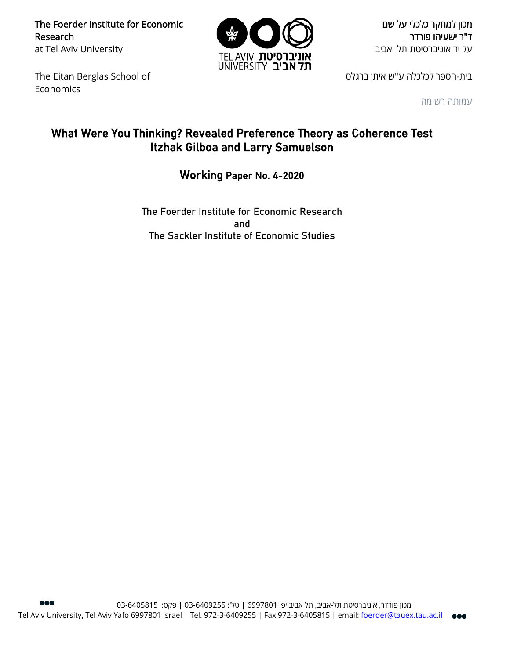The Foerder Institute for Economic Research at Tel Aviv University



מכון למחקר כלכלי על שם ד"ר ישעיהו פורדר על יד אוניברסיטת תל אביב

The Eitan Berglas School of Economics

בית-הספר לכלכלה ע"ש איתן ברגלס

עמותה רשומה

# What Were You Thinking? Revealed Preference Theory as Coherence Test Itzhak Gilboa and Larry Samuelson

## Working Paper No. 4-2020

The Foerder Institute for Economic Research and The Sackler Institute of Economic Studies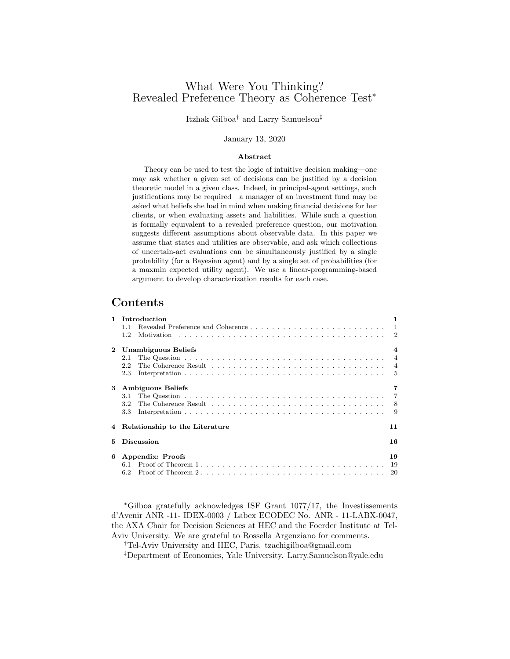### What Were You Thinking? Revealed Preference Theory as Coherence Test<sup>∗</sup>

Itzhak Gilboa† and Larry Samuelson‡

#### January 13, 2020

#### Abstract

Theory can be used to test the logic of intuitive decision making—one may ask whether a given set of decisions can be justified by a decision theoretic model in a given class. Indeed, in principal-agent settings, such justifications may be required—a manager of an investment fund may be asked what beliefs she had in mind when making financial decisions for her clients, or when evaluating assets and liabilities. While such a question is formally equivalent to a revealed preference question, our motivation suggests different assumptions about observable data. In this paper we assume that states and utilities are observable, and ask which collections of uncertain-act evaluations can be simultaneously justified by a single probability (for a Bayesian agent) and by a single set of probabilities (for a maxmin expected utility agent). We use a linear-programming-based argument to develop characterization results for each case.

### Contents

| $\mathbf{1}$ | Introduction                           |    |  |  |  |  |
|--------------|----------------------------------------|----|--|--|--|--|
|              | 1.1                                    |    |  |  |  |  |
|              | 1.2                                    |    |  |  |  |  |
| $\mathbf{2}$ | Unambiguous Beliefs                    |    |  |  |  |  |
|              | 2.1                                    |    |  |  |  |  |
|              | 2.2                                    |    |  |  |  |  |
|              | 2.3                                    |    |  |  |  |  |
| 3            | <b>Ambiguous Beliefs</b>               | 7  |  |  |  |  |
|              | 3.1                                    |    |  |  |  |  |
|              | $3.2\,$                                |    |  |  |  |  |
|              | 3.3                                    |    |  |  |  |  |
|              | 4 Relationship to the Literature<br>11 |    |  |  |  |  |
| 5            | <b>Discussion</b><br>16                |    |  |  |  |  |
| 6            | Appendix: Proofs                       | 19 |  |  |  |  |
|              |                                        |    |  |  |  |  |
|              | 6.2                                    |    |  |  |  |  |

<sup>∗</sup>Gilboa gratefully acknowledges ISF Grant 1077/17, the Investissements d'Avenir ANR -11- IDEX-0003 / Labex ECODEC No. ANR - 11-LABX-0047, the AXA Chair for Decision Sciences at HEC and the Foerder Institute at Tel-Aviv University. We are grateful to Rossella Argenziano for comments.

†Tel-Aviv University and HEC, Paris. tzachigilboa@gmail.com

‡Department of Economics, Yale University. Larry.Samuelson@yale.edu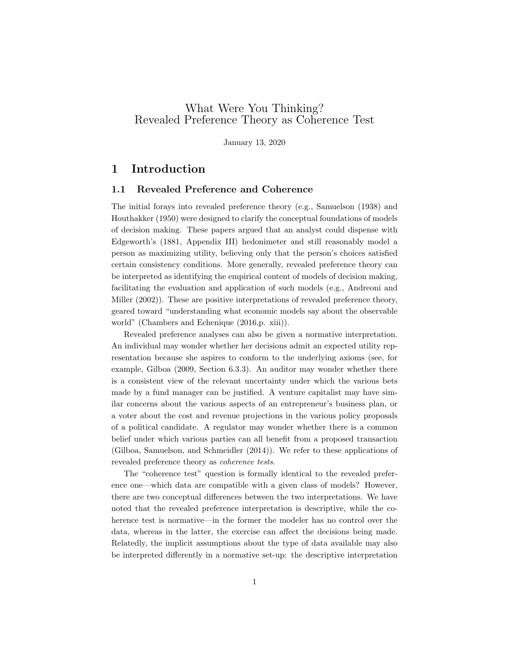### What Were You Thinking? Revealed Preference Theory as Coherence Test

January 13, 2020

### 1 Introduction

### 1.1 Revealed Preference and Coherence

The initial forays into revealed preference theory (e.g., Samuelson (1938) and Houthakker (1950) were designed to clarify the conceptual foundations of models of decision making. These papers argued that an analyst could dispense with Edgeworth's (1881, Appendix III) hedonimeter and still reasonably model a person as maximizing utility, believing only that the person's choices satisfied certain consistency conditions. More generally, revealed preference theory can be interpreted as identifying the empirical content of models of decision making, facilitating the evaluation and application of such models (e.g., Andreoni and Miller (2002)). These are positive interpretations of revealed preference theory, geared toward "understanding what economic models say about the observable world" (Chambers and Echenique (2016,p. xiii)).

Revealed preference analyses can also be given a normative interpretation. An individual may wonder whether her decisions admit an expected utility representation because she aspires to conform to the underlying axioms (see, for example, Gilboa (2009, Section 6.3.3). An auditor may wonder whether there is a consistent view of the relevant uncertainty under which the various bets made by a fund manager can be justified. A venture capitalist may have similar concerns about the various aspects of an entrepreneur's business plan, or a voter about the cost and revenue projections in the various policy proposals of a political candidate. A regulator may wonder whether there is a common belief under which various parties can all benefit from a proposed transaction (Gilboa, Samuelson, and Schmeidler (2014)). We refer to these applications of revealed preference theory as coherence tests.

The "coherence test" question is formally identical to the revealed preference one—which data are compatible with a given class of models? However, there are two conceptual differences between the two interpretations. We have noted that the revealed preference interpretation is descriptive, while the coherence test is normative—in the former the modeler has no control over the data, whereas in the latter, the exercise can affect the decisions being made. Relatedly, the implicit assumptions about the type of data available may also be interpreted differently in a normative set-up: the descriptive interpretation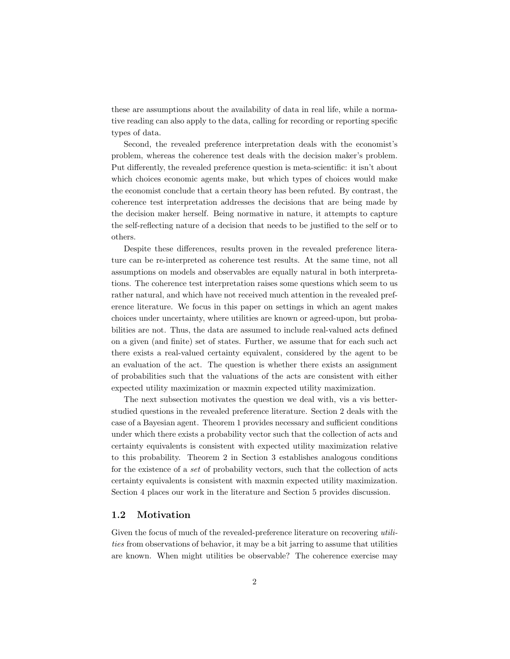these are assumptions about the availability of data in real life, while a normative reading can also apply to the data, calling for recording or reporting specific types of data.

Second, the revealed preference interpretation deals with the economist's problem, whereas the coherence test deals with the decision maker's problem. Put differently, the revealed preference question is meta-scientific: it isn't about which choices economic agents make, but which types of choices would make the economist conclude that a certain theory has been refuted. By contrast, the coherence test interpretation addresses the decisions that are being made by the decision maker herself. Being normative in nature, it attempts to capture the self-reflecting nature of a decision that needs to be justified to the self or to others.

Despite these differences, results proven in the revealed preference literature can be re-interpreted as coherence test results. At the same time, not all assumptions on models and observables are equally natural in both interpretations. The coherence test interpretation raises some questions which seem to us rather natural, and which have not received much attention in the revealed preference literature. We focus in this paper on settings in which an agent makes choices under uncertainty, where utilities are known or agreed-upon, but probabilities are not. Thus, the data are assumed to include real-valued acts defined on a given (and finite) set of states. Further, we assume that for each such act there exists a real-valued certainty equivalent, considered by the agent to be an evaluation of the act. The question is whether there exists an assignment of probabilities such that the valuations of the acts are consistent with either expected utility maximization or maxmin expected utility maximization.

The next subsection motivates the question we deal with, vis a vis betterstudied questions in the revealed preference literature. Section 2 deals with the case of a Bayesian agent. Theorem 1 provides necessary and sufficient conditions under which there exists a probability vector such that the collection of acts and certainty equivalents is consistent with expected utility maximization relative to this probability. Theorem 2 in Section 3 establishes analogous conditions for the existence of a set of probability vectors, such that the collection of acts certainty equivalents is consistent with maxmin expected utility maximization. Section 4 places our work in the literature and Section 5 provides discussion.

#### 1.2 Motivation

Given the focus of much of the revealed-preference literature on recovering utilities from observations of behavior, it may be a bit jarring to assume that utilities are known. When might utilities be observable? The coherence exercise may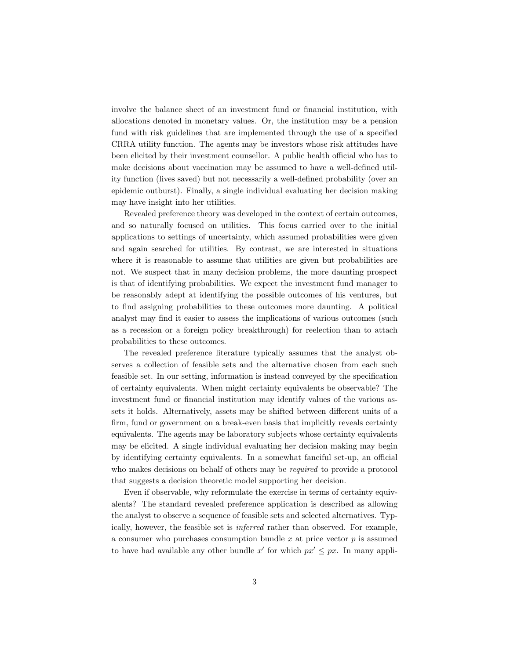involve the balance sheet of an investment fund or financial institution, with allocations denoted in monetary values. Or, the institution may be a pension fund with risk guidelines that are implemented through the use of a specified CRRA utility function. The agents may be investors whose risk attitudes have been elicited by their investment counsellor. A public health official who has to make decisions about vaccination may be assumed to have a well-defined utility function (lives saved) but not necessarily a well-defined probability (over an epidemic outburst). Finally, a single individual evaluating her decision making may have insight into her utilities.

Revealed preference theory was developed in the context of certain outcomes, and so naturally focused on utilities. This focus carried over to the initial applications to settings of uncertainty, which assumed probabilities were given and again searched for utilities. By contrast, we are interested in situations where it is reasonable to assume that utilities are given but probabilities are not. We suspect that in many decision problems, the more daunting prospect is that of identifying probabilities. We expect the investment fund manager to be reasonably adept at identifying the possible outcomes of his ventures, but to find assigning probabilities to these outcomes more daunting. A political analyst may find it easier to assess the implications of various outcomes (such as a recession or a foreign policy breakthrough) for reelection than to attach probabilities to these outcomes.

The revealed preference literature typically assumes that the analyst observes a collection of feasible sets and the alternative chosen from each such feasible set. In our setting, information is instead conveyed by the specification of certainty equivalents. When might certainty equivalents be observable? The investment fund or financial institution may identify values of the various assets it holds. Alternatively, assets may be shifted between different units of a firm, fund or government on a break-even basis that implicitly reveals certainty equivalents. The agents may be laboratory subjects whose certainty equivalents may be elicited. A single individual evaluating her decision making may begin by identifying certainty equivalents. In a somewhat fanciful set-up, an official who makes decisions on behalf of others may be required to provide a protocol that suggests a decision theoretic model supporting her decision.

Even if observable, why reformulate the exercise in terms of certainty equivalents? The standard revealed preference application is described as allowing the analyst to observe a sequence of feasible sets and selected alternatives. Typically, however, the feasible set is inferred rather than observed. For example, a consumer who purchases consumption bundle  $x$  at price vector  $p$  is assumed to have had available any other bundle x' for which  $px' \leq px$ . In many appli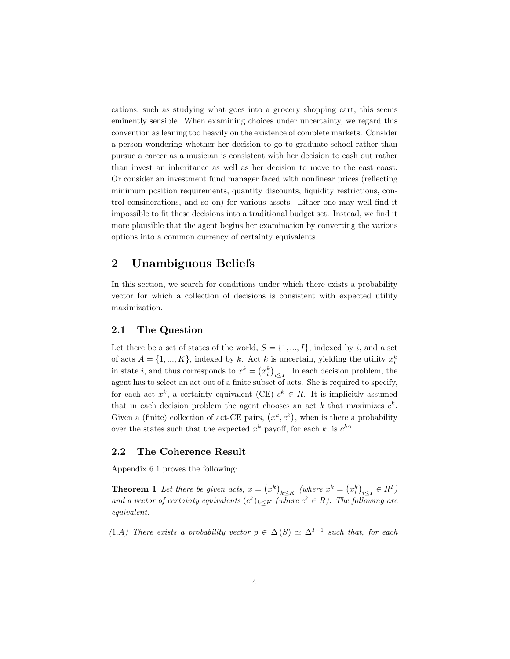cations, such as studying what goes into a grocery shopping cart, this seems eminently sensible. When examining choices under uncertainty, we regard this convention as leaning too heavily on the existence of complete markets. Consider a person wondering whether her decision to go to graduate school rather than pursue a career as a musician is consistent with her decision to cash out rather than invest an inheritance as well as her decision to move to the east coast. Or consider an investment fund manager faced with nonlinear prices (reflecting minimum position requirements, quantity discounts, liquidity restrictions, control considerations, and so on) for various assets. Either one may well find it impossible to fit these decisions into a traditional budget set. Instead, we find it more plausible that the agent begins her examination by converting the various options into a common currency of certainty equivalents.

### 2 Unambiguous Beliefs

In this section, we search for conditions under which there exists a probability vector for which a collection of decisions is consistent with expected utility maximization.

### 2.1 The Question

Let there be a set of states of the world,  $S = \{1, ..., I\}$ , indexed by i, and a set of acts  $A = \{1, ..., K\}$ , indexed by k. Act k is uncertain, yielding the utility  $x_i^k$ in state *i*, and thus corresponds to  $x^k = (x_i^k)_{i \leq I}$ . In each decision problem, the agent has to select an act out of a finite subset  $\overline{\text{of}}$  acts. She is required to specify, for each act  $x^k$ , a certainty equivalent (CE)  $c^k \in R$ . It is implicitly assumed that in each decision problem the agent chooses an act k that maximizes  $c^k$ . Given a (finite) collection of act-CE pairs,  $(x^k, c^k)$ , when is there a probability over the states such that the expected  $x^k$  payoff, for each k, is  $c^k$ ?

#### 2.2 The Coherence Result

Appendix 6.1 proves the following:

**Theorem 1** Let there be given acts,  $x = (x^k)_{k \leq K}$  (where  $x^k = (x_i^k)_{i \leq I} \in R^I$ ) and a vector of certainty equivalents  $(c^k)_{k\leq K}$  (where  $c^k \in R$ ). The following are equivalent:

(1.A) There exists a probability vector  $p \in \Delta(S) \simeq \Delta^{I-1}$  such that, for each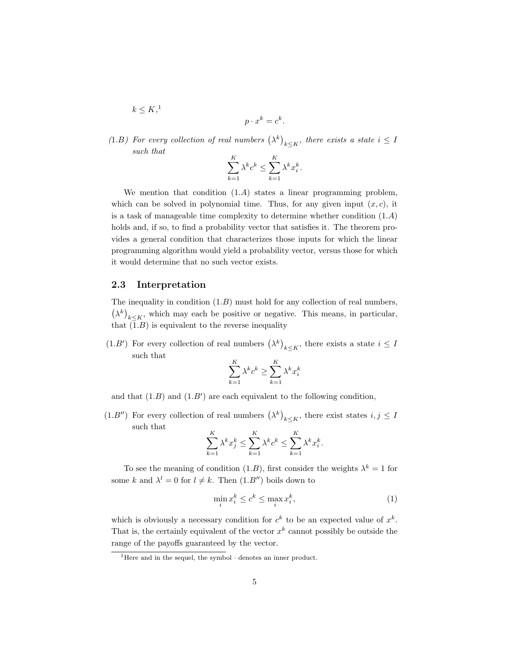$$
k \le K,^1
$$
  

$$
p \cdot x^k = c^k.
$$

(1.B) For every collection of real numbers  $(\lambda^k)_{k\leq K}$ , there exists a state  $i\leq I$ such that

$$
\sum_{k=1}^{K} \lambda^k c^k \le \sum_{k=1}^{K} \lambda^k x_i^k.
$$

We mention that condition  $(1.A)$  states a linear programming problem, which can be solved in polynomial time. Thus, for any given input  $(x, c)$ , it is a task of manageable time complexity to determine whether condition  $(1.A)$ holds and, if so, to find a probability vector that satisfies it. The theorem provides a general condition that characterizes those inputs for which the linear programming algorithm would yield a probability vector, versus those for which it would determine that no such vector exists.

#### 2.3 Interpretation

The inequality in condition  $(1.B)$  must hold for any collection of real numbers,  $(\lambda^k)_{k\leq K}$ , which may each be positive or negative. This means, in particular, that  $(1.B)$  is equivalent to the reverse inequality

 $(1.B')$  For every collection of real numbers  $(\lambda^k)_{k \leq K}$ , there exists a state  $i \leq I$ such that

$$
\sum_{k=1}^{K} \lambda^k c^k \ge \sum_{k=1}^{K} \lambda^k x_i^k
$$

and that  $(1.B)$  and  $(1.B')$  are each equivalent to the following condition,

 $(1.B'')$  For every collection of real numbers  $(\lambda^k)_{k \leq K}$ , there exist states  $i, j \leq I$ such that

$$
\sum_{k=1}^K \lambda^k x_j^k \le \sum_{k=1}^K \lambda^k c^k \le \sum_{k=1}^K \lambda^k x_i^k.
$$

To see the meaning of condition (1.*B*), first consider the weights  $\lambda^k = 1$  for some k and  $\lambda^l = 0$  for  $l \neq k$ . Then  $(1.B'')$  boils down to

$$
\min_{i} x_i^k \le c^k \le \max_{i} x_i^k,\tag{1}
$$

which is obviously a necessary condition for  $c^k$  to be an expected value of  $x^k$ . That is, the certainly equivalent of the vector  $x^k$  cannot possibly be outside the range of the payoffs guaranteed by the vector.

 $1$ <sup>1</sup>Here and in the sequel, the symbol  $\cdot$  denotes an inner product.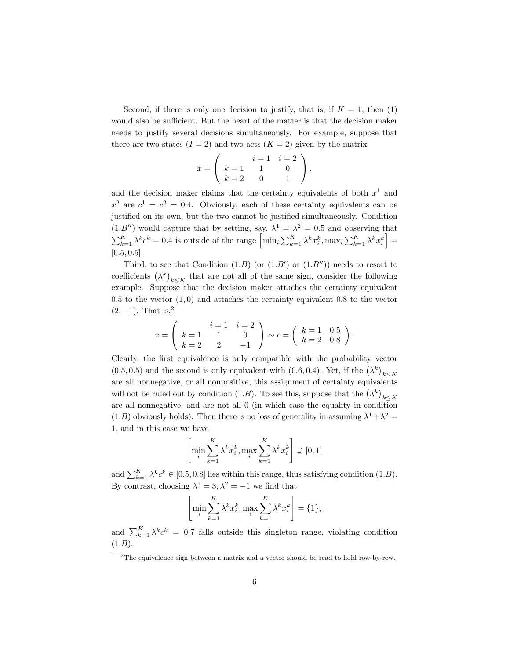Second, if there is only one decision to justify, that is, if  $K = 1$ , then (1) would also be sufficient. But the heart of the matter is that the decision maker needs to justify several decisions simultaneously. For example, suppose that there are two states  $(I = 2)$  and two acts  $(K = 2)$  given by the matrix

$$
x = \left(\begin{array}{ccc} & i = 1 & i = 2 \\ k = 1 & 1 & 0 \\ k = 2 & 0 & 1 \end{array}\right),
$$

and the decision maker claims that the certainty equivalents of both  $x<sup>1</sup>$  and  $x^2$  are  $c^1 = c^2 = 0.4$ . Obviously, each of these certainty equivalents can be justified on its own, but the two cannot be justified simultaneously. Condition  $(1.B'')$  would capture that by setting, say,  $\lambda^1 = \lambda^2 = 0.5$  and observing that  $\sum_{k=1}^K \lambda^k c^k = 0.4$  is outside of the range  $\left[\min_i \sum_{k=1}^K \lambda^k x_i^k, \max_i \sum_{k=1}^K \lambda^k x_i^k\right] =$  $[0.5, 0.5]$ .

Third, to see that Condition  $(1.B)$  (or  $(1.B')$ ) or  $(1.B'')$ ) needs to resort to coefficients  $(\lambda^k)_{k\leq K}$  that are not all of the same sign, consider the following example. Suppose that the decision maker attaches the certainty equivalent  $0.5$  to the vector  $(1,0)$  and attaches the certainty equivalent 0.8 to the vector  $(2, -1)$ . That is,<sup>2</sup>

$$
x = \begin{pmatrix} i & i & 1 \\ k & 1 & 1 \\ k & 2 & 2 & -1 \end{pmatrix} \sim c = \begin{pmatrix} k & 1 & 0.5 \\ k & 2 & 0.8 \end{pmatrix}.
$$

Clearly, the first equivalence is only compatible with the probability vector  $(0.5, 0.5)$  and the second is only equivalent with  $(0.6, 0.4)$ . Yet, if the  $(\lambda^k)_{k \leq K}$ are all nonnegative, or all nonpositive, this assignment of certainty equivalents will not be ruled out by condition (1.*B*). To see this, suppose that the  $(\lambda^k)_{k \leq K}$ are all nonnegative, and are not all 0 (in which case the equality in condition  $(1.B)$  obviously holds). Then there is no loss of generality in assuming  $\lambda^1 + \lambda^2 =$ 1, and in this case we have

$$
\left[\min_{i} \sum_{k=1}^{K} \lambda^k x_i^k, \max_{i} \sum_{k=1}^{K} \lambda^k x_i^k\right] \supseteq [0, 1]
$$

and  $\sum_{k=1}^{K} \lambda^k c^k \in [0.5, 0.8]$  lies within this range, thus satisfying condition  $(1.B)$ . By contrast, choosing  $\lambda^1 = 3, \lambda^2 = -1$  we find that

$$
\left[\min_{i}\sum_{k=1}^{K}\lambda^{k}x_{i}^{k},\max_{i}\sum_{k=1}^{K}\lambda^{k}x_{i}^{k}\right]=\{1\},\
$$

and  $\sum_{k=1}^{K} \lambda^k c^k = 0.7$  falls outside this singleton range, violating condition  $(1.B).$ 

<sup>2</sup>The equivalence sign between a matrix and a vector should be read to hold row-by-row.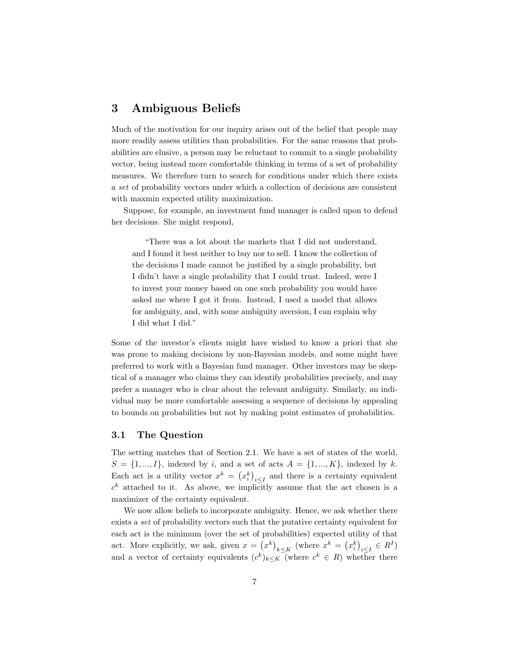### 3 Ambiguous Beliefs

Much of the motivation for our inquiry arises out of the belief that people may more readily assess utilities than probabilities. For the same reasons that probabilities are elusive, a person may be reluctant to commit to a single probability vector, being instead more comfortable thinking in terms of a set of probability measures. We therefore turn to search for conditions under which there exists a set of probability vectors under which a collection of decisions are consistent with maxmin expected utility maximization.

Suppose, for example, an investment fund manager is called upon to defend her decisions. She might respond,

"There was a lot about the markets that I did not understand, and I found it best neither to buy nor to sell. I know the collection of the decisions I made cannot be justified by a single probability, but I didn't have a single probability that I could trust. Indeed, were I to invest your money based on one such probability you would have asked me where I got it from. Instead, I used a model that allows for ambiguity, and, with some ambiguity aversion, I can explain why I did what I did."

Some of the investor's clients might have wished to know a priori that she was prone to making decisions by non-Bayesian models, and some might have preferred to work with a Bayesian fund manager. Other investors may be skeptical of a manager who claims they can identify probabilities precisely, and may prefer a manager who is clear about the relevant ambiguity. Similarly, an individual may be more comfortable assessing a sequence of decisions by appealing to bounds on probabilities but not by making point estimates of probabilities.

### 3.1 The Question

The setting matches that of Section 2.1. We have a set of states of the world,  $S = \{1, ..., I\}$ , indexed by *i*, and a set of acts  $A = \{1, ..., K\}$ , indexed by *k*. Each act is a utility vector  $x^k = (x_i^k)_{i \leq I}$  and there is a certainty equivalent  $c<sup>k</sup>$  attached to it. As above, we implicitly assume that the act chosen is a maximizer of the certainty equivalent.

We now allow beliefs to incorporate ambiguity. Hence, we ask whether there exists a set of probability vectors such that the putative certainty equivalent for each act is the minimum (over the set of probabilities) expected utility of that act. More explicitly, we ask, given  $x = (x^k)_{k \leq K}$  (where  $x^k = (x_i^k)_{i \leq I} \in R^I$ ) and a vector of certainty equivalents  $(c^k)_{k\leq K}$  (where  $c^k \in R$ ) whether there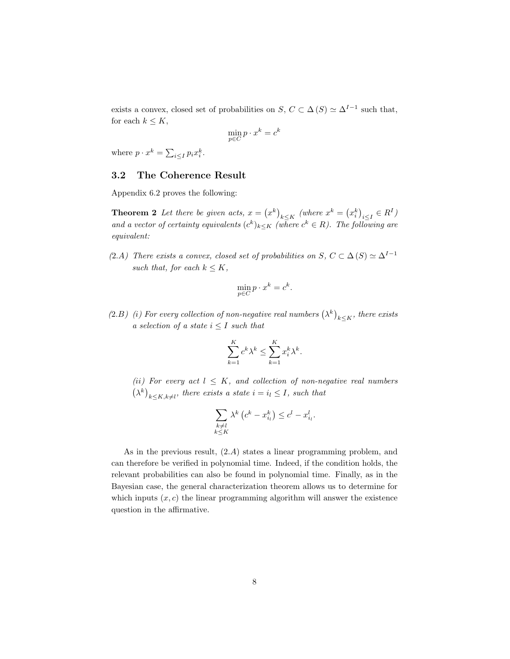exists a convex, closed set of probabilities on  $S, C \subset \Delta(S) \simeq \Delta^{I-1}$  such that, for each  $k \leq K$ ,

$$
\min_{p \in C} p \cdot x^k = c^k
$$

where  $p \cdot x^k = \sum_{i \leq I} p_i x_i^k$ .

### 3.2 The Coherence Result

Appendix 6.2 proves the following:

**Theorem 2** Let there be given acts,  $x = (x^k)_{k \leq K}$  (where  $x^k = (x_i^k)_{i \leq I} \in R^I$ ) and a vector of certainty equivalents  $(c^k)_{k\leq K}$  (where  $c^k \in R$ ). The following are equivalent:

(2.A) There exists a convex, closed set of probabilities on  $S, C \subset \Delta(S) \simeq \Delta^{I-1}$ such that, for each  $k \leq K$ ,

$$
\min_{p \in C} p \cdot x^k = c^k.
$$

(2.B) (i) For every collection of non-negative real numbers  $(\lambda^k)_{k\leq K}$ , there exists a selection of a state  $i \leq I$  such that

$$
\sum_{k=1}^{K} c^k \lambda^k \le \sum_{k=1}^{K} x_i^k \lambda^k.
$$

(ii) For every act  $l \leq K$ , and collection of non-negative real numbers  $(\lambda^k)_{k \leq K, k \neq l}$ , there exists a state  $i = i_l \leq I$ , such that

$$
\sum_{\substack{k \neq l \\ k \leq K}} \lambda^k \left( c^k - x_{i_l}^k \right) \leq c^l - x_{i_l}^l.
$$

As in the previous result, (2.A) states a linear programming problem, and can therefore be verified in polynomial time. Indeed, if the condition holds, the relevant probabilities can also be found in polynomial time. Finally, as in the Bayesian case, the general characterization theorem allows us to determine for which inputs  $(x, c)$  the linear programming algorithm will answer the existence question in the affirmative.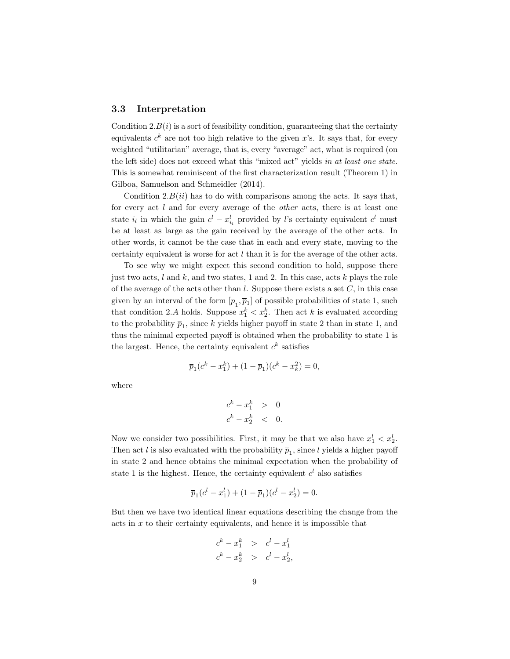#### 3.3 Interpretation

Condition  $2.B(i)$  is a sort of feasibility condition, guaranteeing that the certainty equivalents  $c^k$  are not too high relative to the given x's. It says that, for every weighted "utilitarian" average, that is, every "average" act, what is required (on the left side) does not exceed what this "mixed act" yields in at least one state. This is somewhat reminiscent of the first characterization result (Theorem 1) in Gilboa, Samuelson and Schmeidler (2014).

Condition  $2.B(ii)$  has to do with comparisons among the acts. It says that, for every act l and for every average of the *other* acts, there is at least one state  $i_l$  in which the gain  $c^l - x_{i_l}^l$  provided by l's certainty equivalent  $c^l$  must be at least as large as the gain received by the average of the other acts. In other words, it cannot be the case that in each and every state, moving to the certainty equivalent is worse for act l than it is for the average of the other acts.

To see why we might expect this second condition to hold, suppose there just two acts,  $l$  and  $k$ , and two states, 1 and 2. In this case, acts  $k$  plays the role of the average of the acts other than  $l$ . Suppose there exists a set  $C$ , in this case given by an interval of the form  $[\underline{p}_1, \overline{p}_1]$  of possible probabilities of state 1, such that condition 2.A holds. Suppose  $x_1^k < x_2^k$ . Then act k is evaluated according to the probability  $\bar{p}_1$ , since k yields higher payoff in state 2 than in state 1, and thus the minimal expected payoff is obtained when the probability to state 1 is the largest. Hence, the certainty equivalent  $c<sup>k</sup>$  satisfies

$$
\overline{p}_1(c^k - x_1^k) + (1 - \overline{p}_1)(c^k - x_k^2) = 0,
$$

where

$$
c^k - x_1^k > 0
$$
  

$$
c^k - x_2^k < 0.
$$

Now we consider two possibilities. First, it may be that we also have  $x_1^l < x_2^l$ . Then act l is also evaluated with the probability  $\bar{p}_1$ , since l yields a higher payoff in state 2 and hence obtains the minimal expectation when the probability of state 1 is the highest. Hence, the certainty equivalent  $c<sup>l</sup>$  also satisfies

$$
\overline{p}_1(c^l - x_1^l) + (1 - \overline{p}_1)(c^l - x_2^l) = 0.
$$

But then we have two identical linear equations describing the change from the acts in  $x$  to their certainty equivalents, and hence it is impossible that

$$
c^{k} - x_{1}^{k} > c^{l} - x_{1}^{l}
$$
  

$$
c^{k} - x_{2}^{k} > c^{l} - x_{2}^{l},
$$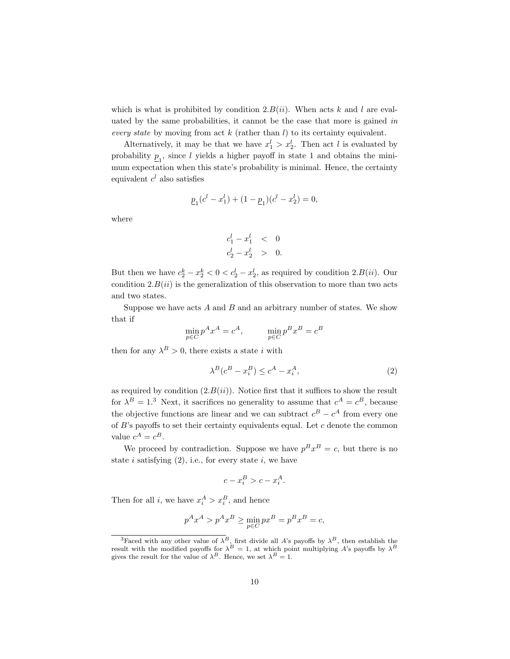which is what is prohibited by condition 2. $B(ii)$ . When acts k and l are evaluated by the same probabilities, it cannot be the case that more is gained in every state by moving from act  $k$  (rather than  $l$ ) to its certainty equivalent.

Alternatively, it may be that we have  $x_1^l > x_2^l$ . Then act l is evaluated by probability  $\underline{p}_1$ , since l yields a higher payoff in state 1 and obtains the minimum expectation when this state's probability is minimal. Hence, the certainty equivalent  $c<sup>l</sup>$  also satisfies

$$
\underline{p}_1(c^l - x_1^l) + (1 - \underline{p}_1)(c^l - x_2^l) = 0,
$$

where

$$
\begin{array}{rcl} c_1^l-x_1^l & < & 0 \\ c_2^l-x_2^l > & 0. \end{array}
$$

But then we have  $c_2^k - x_2^k < 0 < c_2^l - x_2^l$ , as required by condition  $2.B(ii)$ . Our condition  $2.B(ii)$  is the generalization of this observation to more than two acts and two states.

Suppose we have acts  $A$  and  $B$  and an arbitrary number of states. We show that if

$$
\min_{p \in C} p^A x^A = c^A, \qquad \min_{p \in C} p^B x^B = c^B
$$

then for any  $\lambda^B > 0$ , there exists a state *i* with

$$
\lambda^B (c^B - x_i^B) \le c^A - x_i^A,\tag{2}
$$

as required by condition  $(2.B(ii))$ . Notice first that it suffices to show the result for  $\lambda^B = 1.3$  Next, it sacrifices no generality to assume that  $c^A = c^B$ , because the objective functions are linear and we can subtract  $c^B - c^A$  from every one of  $B$ 's payoffs to set their certainty equivalents equal. Let  $c$  denote the common value  $c^A = c^B$ .

We proceed by contradiction. Suppose we have  $p^B x^B = c$ , but there is no state  $i$  satisfying  $(2)$ , i.e., for every state  $i$ , we have

$$
c - x_i^B > c - x_i^A.
$$

Then for all *i*, we have  $x_i^A > x_i^B$ , and hence

$$
p^A x^A > p^A x^B \ge \min_{p \in C} px^B = p^B x^B = c,
$$

<sup>&</sup>lt;sup>3</sup>Faced with any other value of  $\lambda^B$ , first divide all A's payoffs by  $\lambda^B$ , then establish the result with the modified payoffs for  $\lambda^B = 1$ , at which point multiplying A's payoffs by  $\lambda^B$ gives the result for the value of  $\lambda^B$ . Hence, we set  $\lambda^B = 1$ .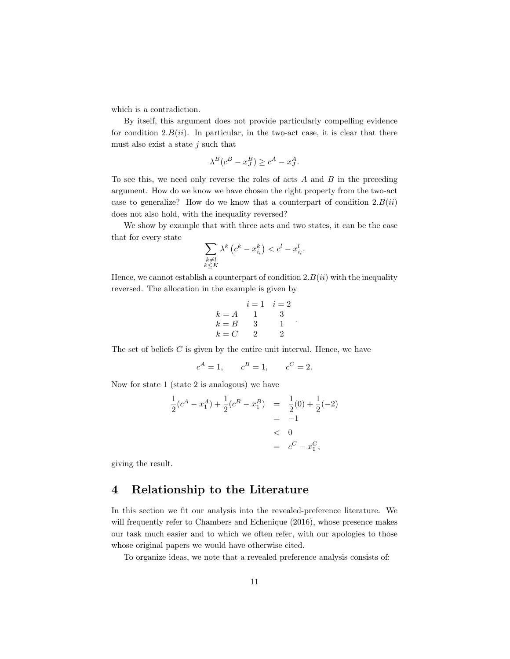which is a contradiction.

By itself, this argument does not provide particularly compelling evidence for condition  $2.B(ii)$ . In particular, in the two-act case, it is clear that there must also exist a state  $j$  such that

$$
\lambda^B (c^B - x^B_J) \ge c^A - x^A_J.
$$

To see this, we need only reverse the roles of acts  $A$  and  $B$  in the preceding argument. How do we know we have chosen the right property from the two-act case to generalize? How do we know that a counterpart of condition  $2.B(ii)$ does not also hold, with the inequality reversed?

We show by example that with three acts and two states, it can be the case that for every state

$$
\sum_{\substack{k \neq l \\ k \leq K}} \lambda^k \left( c^k - x_{i_l}^k \right) < c^l - x_{i_l}^l.
$$

Hence, we cannot establish a counterpart of condition  $2.B(ii)$  with the inequality reversed. The allocation in the example is given by

$$
i = 1 \t i = 2
$$
  
\n
$$
k = A \t 1 \t 3
$$
  
\n
$$
k = B \t 3 \t 1
$$
  
\n
$$
k = C \t 2 \t 2
$$

.

The set of beliefs C is given by the entire unit interval. Hence, we have

$$
c^A = 1, \qquad c^B = 1, \qquad c^C = 2.
$$

Now for state 1 (state 2 is analogous) we have

$$
\frac{1}{2}(c^A - x_1^A) + \frac{1}{2}(c^B - x_1^B) = \frac{1}{2}(0) + \frac{1}{2}(-2) \n= -1 \n
$$
< 0 \n= c^C - x_1^C,
$$
$$

giving the result.

### 4 Relationship to the Literature

In this section we fit our analysis into the revealed-preference literature. We will frequently refer to Chambers and Echenique (2016), whose presence makes our task much easier and to which we often refer, with our apologies to those whose original papers we would have otherwise cited.

To organize ideas, we note that a revealed preference analysis consists of: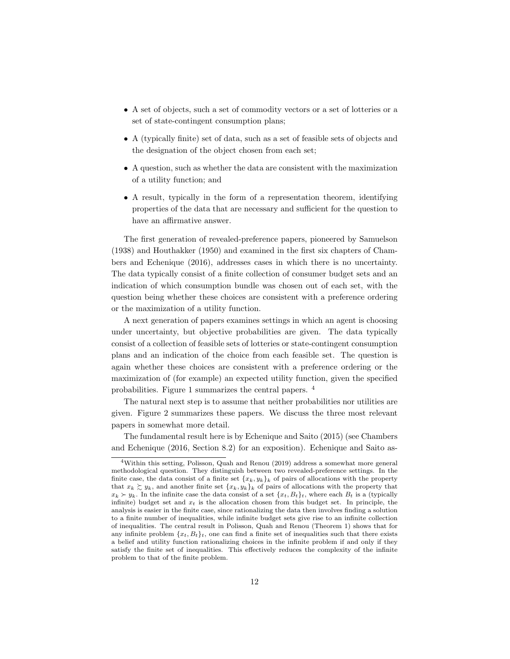- A set of objects, such a set of commodity vectors or a set of lotteries or a set of state-contingent consumption plans;
- A (typically finite) set of data, such as a set of feasible sets of objects and the designation of the object chosen from each set;
- A question, such as whether the data are consistent with the maximization of a utility function; and
- A result, typically in the form of a representation theorem, identifying properties of the data that are necessary and sufficient for the question to have an affirmative answer.

The first generation of revealed-preference papers, pioneered by Samuelson (1938) and Houthakker (1950) and examined in the first six chapters of Chambers and Echenique (2016), addresses cases in which there is no uncertainty. The data typically consist of a finite collection of consumer budget sets and an indication of which consumption bundle was chosen out of each set, with the question being whether these choices are consistent with a preference ordering or the maximization of a utility function.

A next generation of papers examines settings in which an agent is choosing under uncertainty, but objective probabilities are given. The data typically consist of a collection of feasible sets of lotteries or state-contingent consumption plans and an indication of the choice from each feasible set. The question is again whether these choices are consistent with a preference ordering or the maximization of (for example) an expected utility function, given the specified probabilities. Figure 1 summarizes the central papers. <sup>4</sup>

The natural next step is to assume that neither probabilities nor utilities are given. Figure 2 summarizes these papers. We discuss the three most relevant papers in somewhat more detail.

The fundamental result here is by Echenique and Saito (2015) (see Chambers and Echenique (2016, Section 8.2) for an exposition). Echenique and Saito as-

<sup>4</sup>Within this setting, Polisson, Quah and Renou (2019) address a somewhat more general methodological question. They distinguish between two revealed-preference settings. In the finite case, the data consist of a finite set  ${x_k, y_k}_k$  of pairs of allocations with the property that  $x_k \gtrsim y_k$ , and another finite set  $\{x_k, y_k\}_k$  of pairs of allocations with the property that  $x_k \succ y_k$ . In the infinite case the data consist of a set  $\{x_t, B_t\}_t$ , where each  $B_t$  is a (typically infinite) budget set and  $x_t$  is the allocation chosen from this budget set. In principle, the analysis is easier in the finite case, since rationalizing the data then involves finding a solution to a finite number of inequalities, while infinite budget sets give rise to an infinite collection of inequalities. The central result in Polisson, Quah and Renou (Theorem 1) shows that for any infinite problem  ${x_t, B_t}_t$ , one can find a finite set of inequalities such that there exists a belief and utility function rationalizing choices in the infinite problem if and only if they satisfy the finite set of inequalities. This effectively reduces the complexity of the infinite problem to that of the finite problem.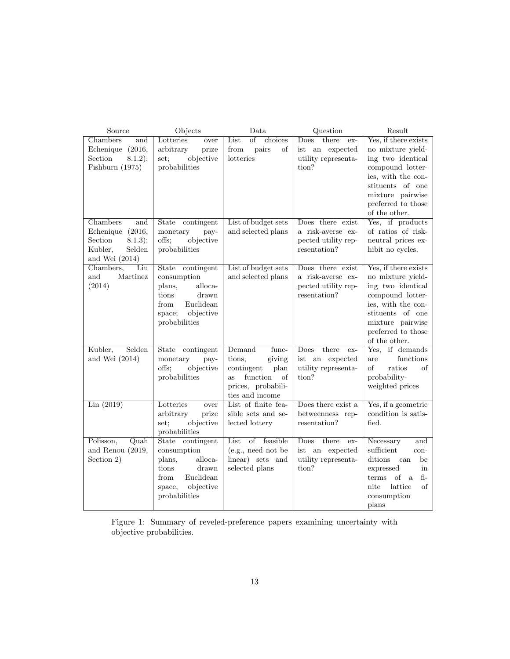| Source              | Objects                    | Data                                              | Question                     | Result                               |
|---------------------|----------------------------|---------------------------------------------------|------------------------------|--------------------------------------|
| Chambers<br>and     | Lotteries<br>over          | $\overline{\text{of}}$<br>choices<br>List         | there<br>Does<br>ex-         | Yes, if there exists                 |
| Echenique (2016,    | arbitrary<br>prize         | pairs<br>from<br>of                               | ist an expected              | no mixture yield-                    |
| Section<br>8.1.2);  | objective<br>set;          | lotteries                                         | utility representa-          | ing two identical                    |
| Fishburn (1975)     | probabilities              |                                                   | tion?                        | compound lotter-                     |
|                     |                            |                                                   |                              | ies, with the con-                   |
|                     |                            |                                                   |                              | stituents of one                     |
|                     |                            |                                                   |                              | mixture pairwise                     |
|                     |                            |                                                   |                              | preferred to those                   |
|                     |                            |                                                   |                              | of the other.                        |
| Chambers<br>and     | State<br>contingent        | List of budget sets                               | Does there exist             | Yes, if products                     |
| (2016,<br>Echenique | pay-<br>monetary           | and selected plans                                | a risk-averse ex-            | of ratios of risk-                   |
| Section<br>8.1.3);  | objective<br>offs;         |                                                   | pected utility rep-          | neutral prices ex-                   |
| Kubler,<br>Selden   | probabilities              |                                                   | resentation?                 | hibit no cycles.                     |
| and Wei $(2014)$    |                            |                                                   |                              |                                      |
| Chambers,<br>Liu    | State contingent           | List of budget sets                               | Does there exist             | Yes, if there exists                 |
| and<br>Martinez     | consumption                | and selected plans                                | a risk-averse ex-            | no mixture yield-                    |
| (2014)              | alloca-<br>plans,          |                                                   | pected utility rep-          | ing two identical                    |
|                     | tions<br>${\rm drawn}$     |                                                   | resentation?                 | compound lotter-                     |
|                     | Euclidean<br>from          |                                                   |                              | ies, with the con-                   |
|                     | objective<br>space;        |                                                   |                              | stituents of one                     |
|                     | probabilities              |                                                   |                              | mixture pairwise                     |
|                     |                            |                                                   |                              | preferred to those                   |
|                     |                            |                                                   |                              | of the other.                        |
| Selden<br>Kubler,   | contingent<br>State        | Demand<br>func-                                   | Does<br>there<br>ex-         | Yes, if demands                      |
| and Wei $(2014)$    | monetary<br>pay-<br>offs:  | tions,<br>giving                                  | ist an expected              | functions<br>are<br>of<br>ratios     |
|                     | objective<br>probabilities | contingent<br>plan<br>function<br><b>as</b><br>of | utility representa-<br>tion? | of                                   |
|                     |                            | prices, probabili-                                |                              | probability-<br>weighted prices      |
|                     |                            | ties and income                                   |                              |                                      |
| Lin(2019)           | Lotteries<br>over          | List of finite fea-                               | Does there exist a           | Yes, if a geometric                  |
|                     | arbitrary<br>prize         | sible sets and se-                                | betweenness rep-             | condition is satis-                  |
|                     | objective<br>set;          | lected lottery                                    | resentation?                 | fied.                                |
|                     | probabilities              |                                                   |                              |                                      |
| Quah<br>Polisson,   | State contingent           | of feasible<br>List                               | there<br>Does<br>ex-         | Necessary<br>and                     |
| and Renou (2019,    | consumption                | (e.g., need not be                                | ist an expected              | sufficient<br>con-                   |
| Section 2)          | plans,<br>alloca-          | linear) sets and                                  | utility representa-          | ditions<br>can<br>be                 |
|                     | tions<br>drawn             | $\rm selected$ $\rm planes$                       | tion?                        | expressed<br>in                      |
|                     | Euclidean<br>from          |                                                   |                              | terms<br>of<br>$fi-$<br><sub>a</sub> |
|                     | objective<br>space,        |                                                   |                              | nite<br>lattice<br>οf                |
|                     | probabilities              |                                                   |                              | consumption                          |
|                     |                            |                                                   |                              | plans                                |

Figure 1: Summary of reveled-preference papers examining uncertainty with objective probabilities.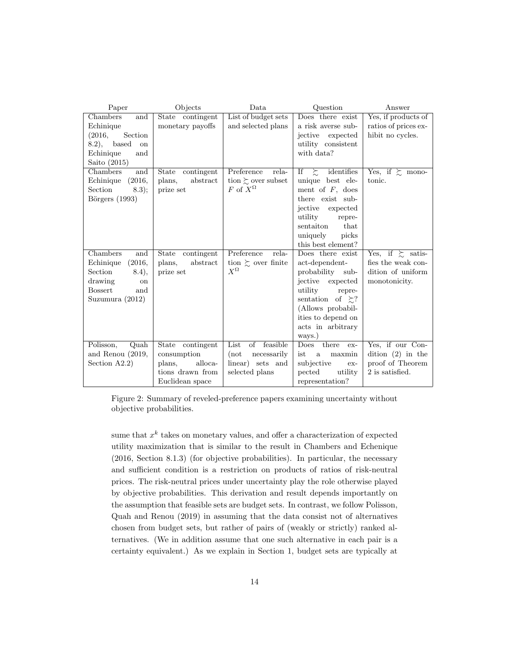| Paper                 | Objects                    | Data                        | Question                   | Answer                     |
|-----------------------|----------------------------|-----------------------------|----------------------------|----------------------------|
| Chambers<br>and       | State contingent           | List of budget sets         | Does there exist           | Yes, if products of        |
| Echinique             | monetary payoffs           | and selected plans          | a risk averse sub-         | ratios of prices ex-       |
| Section<br>(2016,     |                            |                             | jective<br>expected        | hibit no cycles.           |
| 8.2),<br>based<br>on  |                            |                             | utility consistent         |                            |
| Echinique<br>and      |                            |                             | with data?                 |                            |
| Saito $(2015)$        |                            |                             |                            |                            |
| Chambers<br>and       | <b>State</b><br>contingent | Preference<br>rela-         | If $\gtrsim$<br>identifies | Yes, if $\succsim$ mono-   |
| (2016,<br>Echinique   | abstract<br>plans,         | tion $\succsim$ over subset | unique best ele-           | tonic.                     |
| Section<br>8.3);      | prize set                  | $F$ of $X^{\Omega}$         | ment of $F$ , does         |                            |
| Börgers $(1993)$      |                            |                             | there exist sub-           |                            |
|                       |                            |                             | jective<br>expected        |                            |
|                       |                            |                             | utility<br>repre-          |                            |
|                       |                            |                             | sentaiton<br>that          |                            |
|                       |                            |                             | uniquely<br>picks          |                            |
|                       |                            |                             | this best element?         |                            |
| Chambers<br>and       | State<br>contingent        | Preference<br>rela-         | Does there exist           | Yes, if $\succsim$ satis-  |
| (2016,<br>Echinique   | plans,<br>abstract         | tion $\succsim$ over finite | act-dependent-             | fies the weak con-         |
| Section<br>(8.4),     | prize set                  | $X^{\Omega}$                | probability<br>sub-        | dition of uniform          |
| drawing<br>on         |                            |                             | jective expected           | monotonicity.              |
| <b>Bossert</b><br>and |                            |                             | utility<br>repre-          |                            |
| Suzumura (2012)       |                            |                             | sentation of $\geq$ ?      |                            |
|                       |                            |                             | (Allows probabil-          |                            |
|                       |                            |                             | ities to depend on         |                            |
|                       |                            |                             | acts in arbitrary          |                            |
|                       |                            |                             | ways.)                     |                            |
| Quah<br>Polisson,     | State contingent           | List<br>feasible<br>οf      | Does there<br>ex-          | Yes, if our Con-           |
| and Renou $(2019,$    | consumption                | (not<br>necessarily         | ist<br>maxmin<br>a         | $\text{dition}$ (2) in the |
| Section $A2.2$ )      | plans,<br>alloca-          | linear) sets and            | subjective<br>ex-          | proof of Theorem           |
|                       | tions drawn from           | selected plans              | pected<br>utility          | 2 is satisfied.            |
|                       | Euclidean space            |                             | representation?            |                            |

Figure 2: Summary of reveled-preference papers examining uncertainty without objective probabilities.

sume that  $x^k$  takes on monetary values, and offer a characterization of expected utility maximization that is similar to the result in Chambers and Echenique (2016, Section 8.1.3) (for objective probabilities). In particular, the necessary and sufficient condition is a restriction on products of ratios of risk-neutral prices. The risk-neutral prices under uncertainty play the role otherwise played by objective probabilities. This derivation and result depends importantly on the assumption that feasible sets are budget sets. In contrast, we follow Polisson, Quah and Renou (2019) in assuming that the data consist not of alternatives chosen from budget sets, but rather of pairs of (weakly or strictly) ranked alternatives. (We in addition assume that one such alternative in each pair is a certainty equivalent.) As we explain in Section 1, budget sets are typically at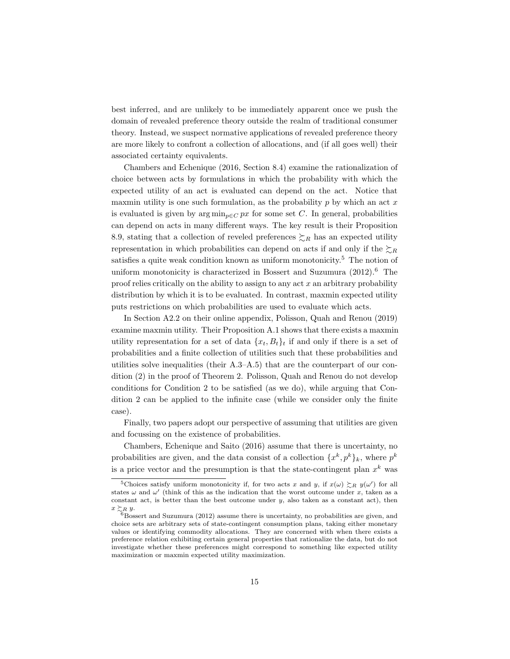best inferred, and are unlikely to be immediately apparent once we push the domain of revealed preference theory outside the realm of traditional consumer theory. Instead, we suspect normative applications of revealed preference theory are more likely to confront a collection of allocations, and (if all goes well) their associated certainty equivalents.

Chambers and Echenique (2016, Section 8.4) examine the rationalization of choice between acts by formulations in which the probability with which the expected utility of an act is evaluated can depend on the act. Notice that maxmin utility is one such formulation, as the probability  $p$  by which an act  $x$ is evaluated is given by  $\arg \min_{p \in C} px$  for some set C. In general, probabilities can depend on acts in many different ways. The key result is their Proposition 8.9, stating that a collection of reveled preferences  $\sum_R$  has an expected utility representation in which probabilities can depend on acts if and only if the  $\gtrsim_R$ satisfies a quite weak condition known as uniform monotonicity.<sup>5</sup> The notion of uniform monotonicity is characterized in Bossert and Suzumura  $(2012)$ .<sup>6</sup> The proof relies critically on the ability to assign to any act  $x$  an arbitrary probability distribution by which it is to be evaluated. In contrast, maxmin expected utility puts restrictions on which probabilities are used to evaluate which acts.

In Section A2.2 on their online appendix, Polisson, Quah and Renou (2019) examine maxmin utility. Their Proposition A.1 shows that there exists a maxmin utility representation for a set of data  $\{x_t, B_t\}_t$  if and only if there is a set of probabilities and a finite collection of utilities such that these probabilities and utilities solve inequalities (their A.3–A.5) that are the counterpart of our condition (2) in the proof of Theorem 2. Polisson, Quah and Renou do not develop conditions for Condition 2 to be satisfied (as we do), while arguing that Condition 2 can be applied to the infinite case (while we consider only the finite case).

Finally, two papers adopt our perspective of assuming that utilities are given and focussing on the existence of probabilities.

Chambers, Echenique and Saito (2016) assume that there is uncertainty, no probabilities are given, and the data consist of a collection  $\{x^k, p^k\}_k$ , where  $p^k$ is a price vector and the presumption is that the state-contingent plan  $x^k$  was

<sup>&</sup>lt;sup>5</sup>Choices satisfy uniform monotonicity if, for two acts x and y, if  $x(\omega) \gtrsim_R y(\omega')$  for all states  $\omega$  and  $\omega'$  (think of this as the indication that the worst outcome under x, taken as a constant act, is better than the best outcome under  $y$ , also taken as a constant act), then  $x \succsim_R y$ .

 $6B$ ossert and Suzumura (2012) assume there is uncertainty, no probabilities are given, and choice sets are arbitrary sets of state-contingent consumption plans, taking either monetary values or identifying commodity allocations. They are concerned with when there exists a preference relation exhibiting certain general properties that rationalize the data, but do not investigate whether these preferences might correspond to something like expected utility maximization or maxmin expected utility maximization.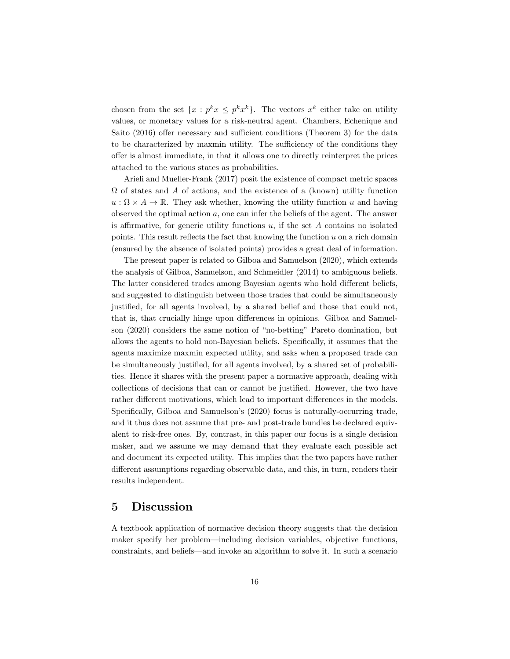chosen from the set  $\{x : p^k x \leq p^k x^k\}$ . The vectors  $x^k$  either take on utility values, or monetary values for a risk-neutral agent. Chambers, Echenique and Saito (2016) offer necessary and sufficient conditions (Theorem 3) for the data to be characterized by maxmin utility. The sufficiency of the conditions they offer is almost immediate, in that it allows one to directly reinterpret the prices attached to the various states as probabilities.

Arieli and Mueller-Frank (2017) posit the existence of compact metric spaces  $\Omega$  of states and A of actions, and the existence of a (known) utility function  $u : \Omega \times A \to \mathbb{R}$ . They ask whether, knowing the utility function u and having observed the optimal action  $a$ , one can infer the beliefs of the agent. The answer is affirmative, for generic utility functions  $u$ , if the set  $A$  contains no isolated points. This result reflects the fact that knowing the function  $u$  on a rich domain (ensured by the absence of isolated points) provides a great deal of information.

The present paper is related to Gilboa and Samuelson (2020), which extends the analysis of Gilboa, Samuelson, and Schmeidler (2014) to ambiguous beliefs. The latter considered trades among Bayesian agents who hold different beliefs, and suggested to distinguish between those trades that could be simultaneously justified, for all agents involved, by a shared belief and those that could not, that is, that crucially hinge upon differences in opinions. Gilboa and Samuelson (2020) considers the same notion of "no-betting" Pareto domination, but allows the agents to hold non-Bayesian beliefs. Specifically, it assumes that the agents maximize maxmin expected utility, and asks when a proposed trade can be simultaneously justified, for all agents involved, by a shared set of probabilities. Hence it shares with the present paper a normative approach, dealing with collections of decisions that can or cannot be justified. However, the two have rather different motivations, which lead to important differences in the models. Specifically, Gilboa and Samuelson's (2020) focus is naturally-occurring trade, and it thus does not assume that pre- and post-trade bundles be declared equivalent to risk-free ones. By, contrast, in this paper our focus is a single decision maker, and we assume we may demand that they evaluate each possible act and document its expected utility. This implies that the two papers have rather different assumptions regarding observable data, and this, in turn, renders their results independent.

### 5 Discussion

A textbook application of normative decision theory suggests that the decision maker specify her problem—including decision variables, objective functions, constraints, and beliefs—and invoke an algorithm to solve it. In such a scenario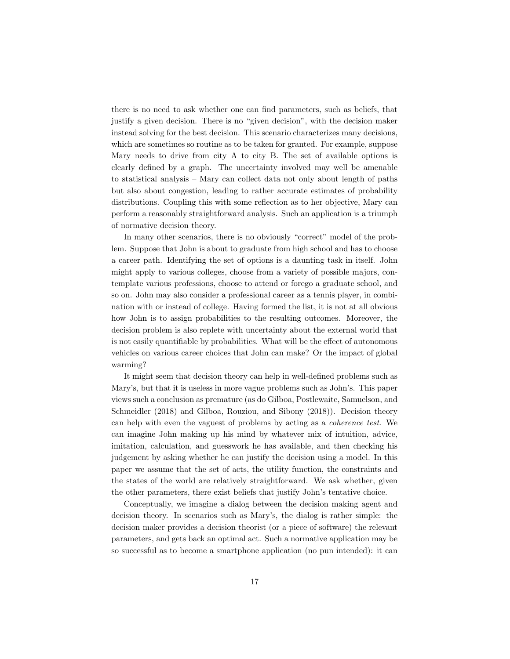there is no need to ask whether one can find parameters, such as beliefs, that justify a given decision. There is no "given decision", with the decision maker instead solving for the best decision. This scenario characterizes many decisions, which are sometimes so routine as to be taken for granted. For example, suppose Mary needs to drive from city A to city B. The set of available options is clearly defined by a graph. The uncertainty involved may well be amenable to statistical analysis – Mary can collect data not only about length of paths but also about congestion, leading to rather accurate estimates of probability distributions. Coupling this with some reflection as to her objective, Mary can perform a reasonably straightforward analysis. Such an application is a triumph of normative decision theory.

In many other scenarios, there is no obviously "correct" model of the problem. Suppose that John is about to graduate from high school and has to choose a career path. Identifying the set of options is a daunting task in itself. John might apply to various colleges, choose from a variety of possible majors, contemplate various professions, choose to attend or forego a graduate school, and so on. John may also consider a professional career as a tennis player, in combination with or instead of college. Having formed the list, it is not at all obvious how John is to assign probabilities to the resulting outcomes. Moreover, the decision problem is also replete with uncertainty about the external world that is not easily quantifiable by probabilities. What will be the effect of autonomous vehicles on various career choices that John can make? Or the impact of global warming?

It might seem that decision theory can help in well-defined problems such as Mary's, but that it is useless in more vague problems such as John's. This paper views such a conclusion as premature (as do Gilboa, Postlewaite, Samuelson, and Schmeidler (2018) and Gilboa, Rouziou, and Sibony (2018)). Decision theory can help with even the vaguest of problems by acting as a coherence test. We can imagine John making up his mind by whatever mix of intuition, advice, imitation, calculation, and guesswork he has available, and then checking his judgement by asking whether he can justify the decision using a model. In this paper we assume that the set of acts, the utility function, the constraints and the states of the world are relatively straightforward. We ask whether, given the other parameters, there exist beliefs that justify John's tentative choice.

Conceptually, we imagine a dialog between the decision making agent and decision theory. In scenarios such as Mary's, the dialog is rather simple: the decision maker provides a decision theorist (or a piece of software) the relevant parameters, and gets back an optimal act. Such a normative application may be so successful as to become a smartphone application (no pun intended): it can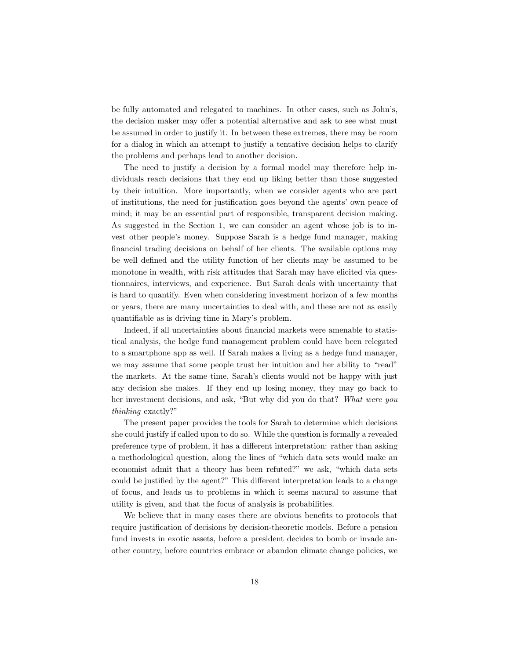be fully automated and relegated to machines. In other cases, such as John's, the decision maker may offer a potential alternative and ask to see what must be assumed in order to justify it. In between these extremes, there may be room for a dialog in which an attempt to justify a tentative decision helps to clarify the problems and perhaps lead to another decision.

The need to justify a decision by a formal model may therefore help individuals reach decisions that they end up liking better than those suggested by their intuition. More importantly, when we consider agents who are part of institutions, the need for justification goes beyond the agents' own peace of mind; it may be an essential part of responsible, transparent decision making. As suggested in the Section 1, we can consider an agent whose job is to invest other people's money. Suppose Sarah is a hedge fund manager, making financial trading decisions on behalf of her clients. The available options may be well defined and the utility function of her clients may be assumed to be monotone in wealth, with risk attitudes that Sarah may have elicited via questionnaires, interviews, and experience. But Sarah deals with uncertainty that is hard to quantify. Even when considering investment horizon of a few months or years, there are many uncertainties to deal with, and these are not as easily quantifiable as is driving time in Mary's problem.

Indeed, if all uncertainties about financial markets were amenable to statistical analysis, the hedge fund management problem could have been relegated to a smartphone app as well. If Sarah makes a living as a hedge fund manager, we may assume that some people trust her intuition and her ability to "read" the markets. At the same time, Sarah's clients would not be happy with just any decision she makes. If they end up losing money, they may go back to her investment decisions, and ask, "But why did you do that? What were you thinking exactly?"

The present paper provides the tools for Sarah to determine which decisions she could justify if called upon to do so. While the question is formally a revealed preference type of problem, it has a different interpretation: rather than asking a methodological question, along the lines of "which data sets would make an economist admit that a theory has been refuted?" we ask, "which data sets could be justified by the agent?" This different interpretation leads to a change of focus, and leads us to problems in which it seems natural to assume that utility is given, and that the focus of analysis is probabilities.

We believe that in many cases there are obvious benefits to protocols that require justification of decisions by decision-theoretic models. Before a pension fund invests in exotic assets, before a president decides to bomb or invade another country, before countries embrace or abandon climate change policies, we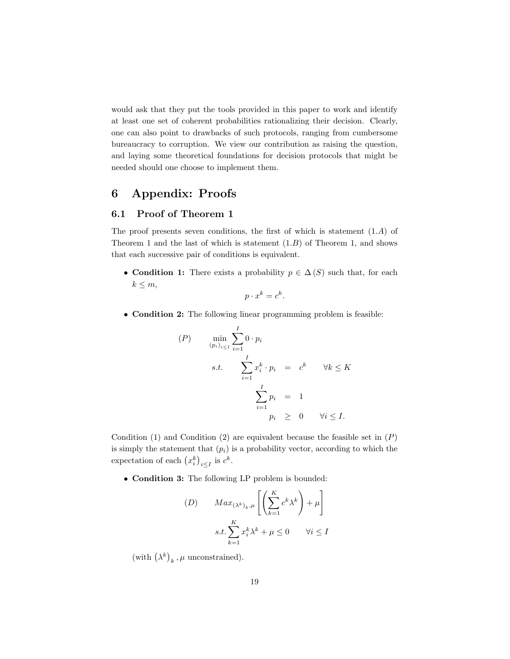would ask that they put the tools provided in this paper to work and identify at least one set of coherent probabilities rationalizing their decision. Clearly, one can also point to drawbacks of such protocols, ranging from cumbersome bureaucracy to corruption. We view our contribution as raising the question, and laying some theoretical foundations for decision protocols that might be needed should one choose to implement them.

## 6 Appendix: Proofs

### 6.1 Proof of Theorem 1

The proof presents seven conditions, the first of which is statement (1.A) of Theorem 1 and the last of which is statement  $(1.B)$  of Theorem 1, and shows that each successive pair of conditions is equivalent.

• Condition 1: There exists a probability  $p \in \Delta(S)$  such that, for each  $k \leq m$ ,

$$
p \cdot x^k = c^k.
$$

• Condition 2: The following linear programming problem is feasible:

$$
(P) \qquad \min_{(p_i)_{i \le I}} \sum_{i=1}^I 0 \cdot p_i
$$
\n
$$
s.t. \qquad \sum_{i=1}^I x_i^k \cdot p_i = c^k \qquad \forall k \le K
$$
\n
$$
\sum_{i=1}^I p_i = 1
$$
\n
$$
p_i \ge 0 \qquad \forall i \le I.
$$

Condition (1) and Condition (2) are equivalent because the feasible set in  $(P)$ is simply the statement that  $(p_i)$  is a probability vector, according to which the expectation of each  $(x_i^k)_{i \leq I}$  is  $c^k$ .

• Condition 3: The following LP problem is bounded:

$$
(D) \qquad Max_{(\lambda^k)_k, \mu} \left[ \left( \sum_{k=1}^K c^k \lambda^k \right) + \mu \right]
$$
  

$$
s.t. \sum_{k=1}^K x_i^k \lambda^k + \mu \le 0 \qquad \forall i \le I
$$

(with  $(\lambda^k)_k$ ,  $\mu$  unconstrained).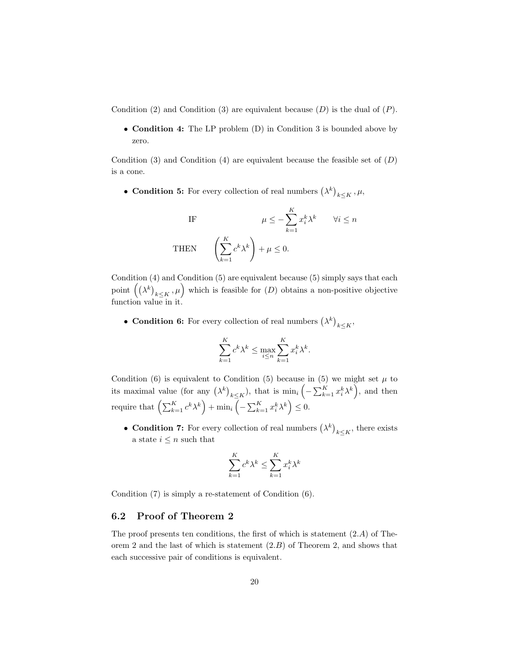Condition (2) and Condition (3) are equivalent because  $(D)$  is the dual of  $(P)$ .

• **Condition 4:** The LP problem (D) in Condition 3 is bounded above by zero.

Condition (3) and Condition (4) are equivalent because the feasible set of  $(D)$ is a cone.

• Condition 5: For every collection of real numbers  $(\lambda^k)_{k \leq K}, \mu$ ,

IF 
$$
\mu \le -\sum_{k=1}^{K} x_i^k \lambda^k \quad \forall i \le n
$$
  
THEN  $\left(\sum_{k=1}^{K} c^k \lambda^k\right) + \mu \le 0.$ 

Condition (4) and Condition (5) are equivalent because (5) simply says that each point  $((\lambda^k)_{k\leq K}, \mu)$  which is feasible for  $(D)$  obtains a non-positive objective function value in it.

• Condition 6: For every collection of real numbers  $(\lambda^k)_{k \leq K}$ ,

$$
\sum_{k=1}^{K} c^k \lambda^k \le \max_{i \le n} \sum_{k=1}^{K} x_i^k \lambda^k.
$$

Condition (6) is equivalent to Condition (5) because in (5) we might set  $\mu$  to its maximal value (for any  $(\lambda^k)_{k \leq K}$ ), that is  $\min_i \left( - \sum_{k=1}^K x_i^k \lambda^k \right)$ , and then require that  $\left(\sum_{k=1}^K c^k \lambda^k\right) + \min_i \left(-\sum_{k=1}^K x_i^k \lambda^k\right) \leq 0.$ 

• Condition 7: For every collection of real numbers  $(\lambda^k)_{k \leq K}$ , there exists a state  $i \leq n$  such that

$$
\sum_{k=1}^{K} c^k \lambda^k \le \sum_{k=1}^{K} x_i^k \lambda^k
$$

Condition (7) is simply a re-statement of Condition (6).

### 6.2 Proof of Theorem 2

The proof presents ten conditions, the first of which is statement  $(2.A)$  of Theorem 2 and the last of which is statement  $(2.B)$  of Theorem 2, and shows that each successive pair of conditions is equivalent.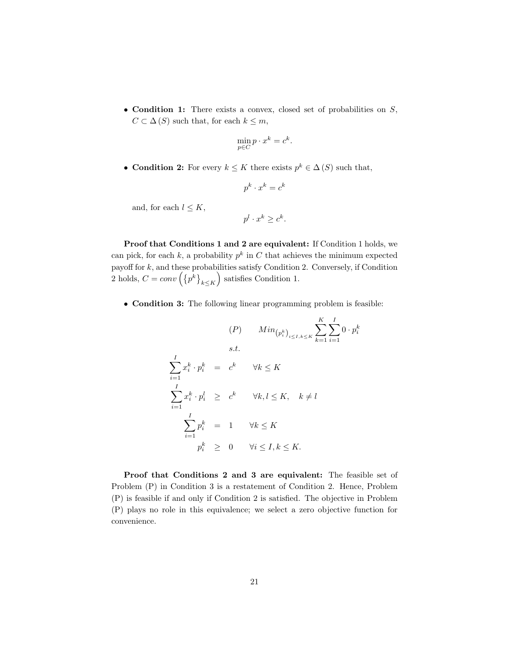• Condition 1: There exists a convex, closed set of probabilities on  $S$ ,  $C \subset \Delta(S)$  such that, for each  $k \leq m$ ,

$$
\min_{p \in C} p \cdot x^k = c^k
$$

.

• Condition 2: For every  $k \leq K$  there exists  $p^k \in \Delta(S)$  such that,

$$
p^k \cdot x^k = c^k
$$

and, for each  $l \leq K$ ,

$$
p^l \cdot x^k \ge c^k.
$$

Proof that Conditions 1 and 2 are equivalent: If Condition 1 holds, we can pick, for each k, a probability  $p^k$  in C that achieves the minimum expected payoff for  $k$ , and these probabilities satisfy Condition 2. Conversely, if Condition 2 holds,  $C = conv\left(\left\{p^k\right\}_{k \leq K}\right)$  satisfies Condition 1.

• Condition 3: The following linear programming problem is feasible:

$$
(P) \qquad Min_{\left(p_i^k\right)_{i \le I, k \le K}} \sum_{k=1}^K \sum_{i=1}^I 0 \cdot p_i^k
$$
  
s.t.  

$$
\sum_{i=1}^I x_i^k \cdot p_i^k = c^k \qquad \forall k \le K
$$
  

$$
\sum_{i=1}^I x_i^k \cdot p_i^l \ge c^k \qquad \forall k, l \le K, \quad k \ne l
$$
  

$$
\sum_{i=1}^I p_i^k = 1 \qquad \forall k \le K
$$
  

$$
p_i^k \ge 0 \qquad \forall i \le I, k \le K.
$$

Proof that Conditions 2 and 3 are equivalent: The feasible set of Problem (P) in Condition 3 is a restatement of Condition 2. Hence, Problem (P) is feasible if and only if Condition 2 is satisfied. The objective in Problem (P) plays no role in this equivalence; we select a zero objective function for convenience.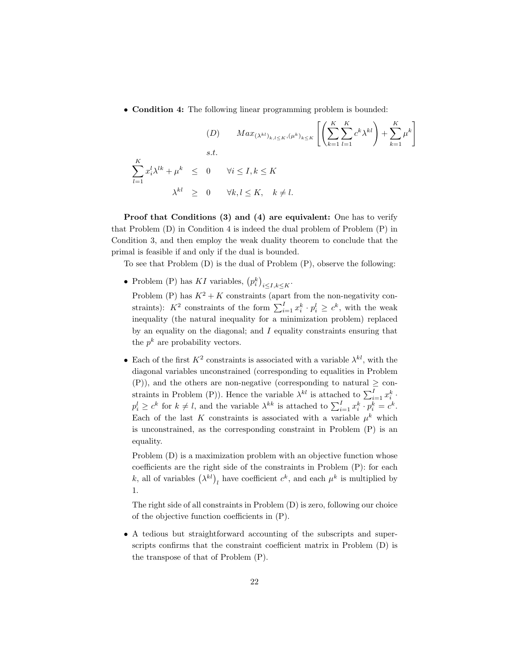• Condition 4: The following linear programming problem is bounded:

$$
(D) \quad Max_{(\lambda^{kl})_{k,l\leq K}, (\mu^k)_{k\leq K}} \left[ \left( \sum_{k=1}^K \sum_{l=1}^K c^k \lambda^{kl} \right) + \sum_{k=1}^K \mu^k \right]
$$
  
s.t.  

$$
\sum_{l=1}^K x_i^l \lambda^{lk} + \mu^k \leq 0 \quad \forall i \leq I, k \leq K
$$
  

$$
\lambda^{kl} \geq 0 \quad \forall k, l \leq K, \quad k \neq l.
$$

Proof that Conditions (3) and (4) are equivalent: One has to verify that Problem (D) in Condition 4 is indeed the dual problem of Problem (P) in Condition 3, and then employ the weak duality theorem to conclude that the primal is feasible if and only if the dual is bounded.

To see that Problem (D) is the dual of Problem (P), observe the following:

• Problem (P) has KI variables,  $(p_i^k)_{i \leq I, k \leq K}$ .

Problem (P) has  $K^2 + K$  constraints (apart from the non-negativity constraints):  $K^2$  constraints of the form  $\sum_{i=1}^I x_i^k \cdot p_i^l \geq c^k$ , with the weak inequality (the natural inequality for a minimization problem) replaced by an equality on the diagonal; and  $I$  equality constraints ensuring that the  $p^k$  are probability vectors.

• Each of the first  $K^2$  constraints is associated with a variable  $\lambda^{kl}$ , with the diagonal variables unconstrained (corresponding to equalities in Problem (P)), and the others are non-negative (corresponding to natural  $\geq$  constraints in Problem (P)). Hence the variable  $\lambda^{kl}$  is attached to  $\sum_{i=1}^{I} x_i^k$ .  $p_i^l \geq c^k$  for  $k \neq l$ , and the variable  $\lambda^{kk}$  is attached to  $\sum_{i=1}^l x_i^k \cdot p_i^k = c^k$ . Each of the last K constraints is associated with a variable  $\mu^k$  which is unconstrained, as the corresponding constraint in Problem (P) is an equality.

Problem (D) is a maximization problem with an objective function whose coefficients are the right side of the constraints in Problem (P): for each k, all of variables  $(\lambda^{kl})_l$  have coefficient  $c^k$ , and each  $\mu^k$  is multiplied by 1.

The right side of all constraints in Problem (D) is zero, following our choice of the objective function coefficients in (P).

• A tedious but straightforward accounting of the subscripts and superscripts confirms that the constraint coefficient matrix in Problem (D) is the transpose of that of Problem (P).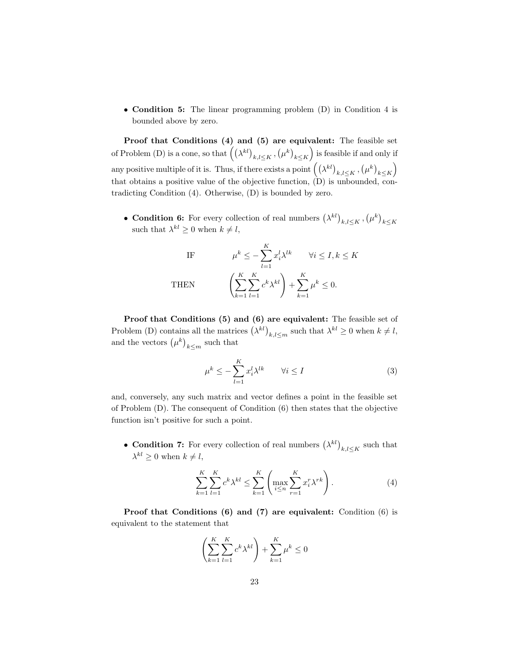• Condition 5: The linear programming problem (D) in Condition 4 is bounded above by zero.

Proof that Conditions (4) and (5) are equivalent: The feasible set of Problem (D) is a cone, so that  $((\lambda^{kl})_{k,l\leq K}, (\mu^k)_{k\leq K})$  is feasible if and only if any positive multiple of it is. Thus, if there exists a point  $((\lambda^{kl})_{k,l\leq K}, (\mu^k)_{k\leq K})$ that obtains a positive value of the objective function, (D) is unbounded, contradicting Condition (4). Otherwise, (D) is bounded by zero.

• Condition 6: For every collection of real numbers  $(\lambda^{kl})_{k,l \leq K}$ ,  $(\mu^k)_{k \leq K}$  such that  $\lambda^{kl} \geq 0$  when  $k \neq l$ ,

IF 
$$
\mu^{k} \leq -\sum_{l=1}^{K} x_{i}^{l} \lambda^{lk} \quad \forall i \leq I, k \leq K
$$
THEN 
$$
\left(\sum_{k=1}^{K} \sum_{l=1}^{K} c^{k} \lambda^{kl}\right) + \sum_{k=1}^{K} \mu^{k} \leq 0.
$$

Proof that Conditions (5) and (6) are equivalent: The feasible set of Problem (D) contains all the matrices  $(\lambda^{kl})_{k,l\leq m}$  such that  $\lambda^{kl}\geq 0$  when  $k\neq l$ , and the vectors  $(\mu^k)_{k \leq m}$  such that

$$
\mu^k \le -\sum_{l=1}^K x_i^l \lambda^{lk} \qquad \forall i \le I \tag{3}
$$

and, conversely, any such matrix and vector defines a point in the feasible set of Problem (D). The consequent of Condition (6) then states that the objective function isn't positive for such a point.

• Condition 7: For every collection of real numbers  $(\lambda^{kl})_{k,l\leq K}$  such that  $\lambda^{kl} \geq 0$  when  $k \neq l$ ,

$$
\sum_{k=1}^{K} \sum_{l=1}^{K} c^k \lambda^{kl} \le \sum_{k=1}^{K} \left( \max_{i \le n} \sum_{r=1}^{K} x_i^r \lambda^{rk} \right).
$$
 (4)

Proof that Conditions (6) and (7) are equivalent: Condition (6) is equivalent to the statement that

$$
\left(\sum_{k=1}^{K} \sum_{l=1}^{K} c^k \lambda^{kl}\right) + \sum_{k=1}^{K} \mu^k \le 0
$$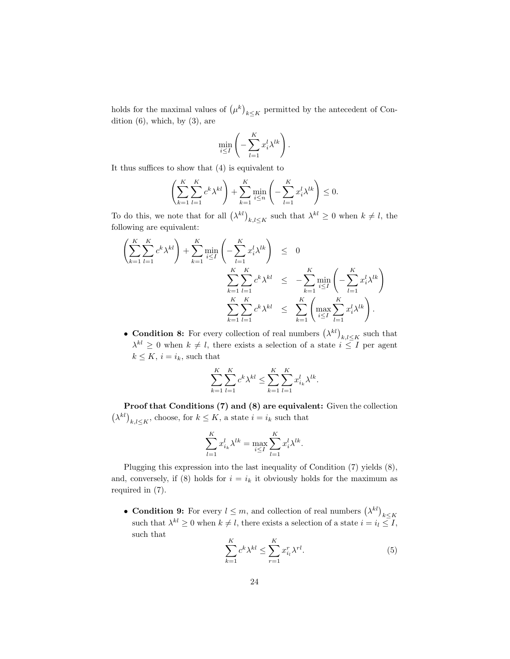holds for the maximal values of  $(\mu^k)_{k \leq K}$  permitted by the antecedent of Condition  $(6)$ , which, by  $(3)$ , are

$$
\min_{i \leq I} \left( -\sum_{l=1}^K x_i^l \lambda^{lk} \right).
$$

It thus suffices to show that (4) is equivalent to

$$
\left(\sum_{k=1}^K \sum_{l=1}^K c^k \lambda^{kl}\right) + \sum_{k=1}^K \min_{i \le n} \left(-\sum_{l=1}^K x_i^l \lambda^{lk}\right) \le 0.
$$

To do this, we note that for all  $(\lambda^{kl})_{k,l\leq K}$  such that  $\lambda^{kl}\geq 0$  when  $k\neq l$ , the following are equivalent:

$$
\left(\sum_{k=1}^{K} \sum_{l=1}^{K} c^k \lambda^{kl}\right) + \sum_{k=1}^{K} \min_{i \leq I} \left(-\sum_{l=1}^{K} x_i^l \lambda^{lk}\right) \leq 0
$$
\n
$$
\sum_{k=1}^{K} \sum_{l=1}^{K} c^k \lambda^{kl} \leq -\sum_{k=1}^{K} \min_{i \leq I} \left(-\sum_{l=1}^{K} x_i^l \lambda^{lk}\right)
$$
\n
$$
\sum_{k=1}^{K} \sum_{l=1}^{K} c^k \lambda^{kl} \leq \sum_{k=1}^{K} \left(\max_{i \leq I} \sum_{l=1}^{K} x_i^l \lambda^{lk}\right).
$$

• Condition 8: For every collection of real numbers  $(\lambda^{kl})_{k,l\leq K}$  such that  $\lambda^{kl} \geq 0$  when  $k \neq l$ , there exists a selection of a state  $i \leq I$  per agent  $k \leq K$ ,  $i = i_k$ , such that

$$
\sum_{k=1}^{K} \sum_{l=1}^{K} c^{k} \lambda^{kl} \le \sum_{k=1}^{K} \sum_{l=1}^{K} x_{i_k}^{l} \lambda^{lk}.
$$

Proof that Conditions (7) and (8) are equivalent: Given the collection  $(\lambda^{kl})_{k,l \leq K}$ , choose, for  $k \leq K$ , a state  $i = i_k$  such that

$$
\sum_{l=1}^{K} x_{i_k}^l \lambda^{lk} = \max_{i \le I} \sum_{l=1}^{K} x_i^l \lambda^{lk}.
$$

Plugging this expression into the last inequality of Condition (7) yields (8), and, conversely, if (8) holds for  $i = i_k$  it obviously holds for the maximum as required in (7).

• Condition 9: For every  $l \leq m$ , and collection of real numbers  $(\lambda^{kl})_{k \leq K}$  such that  $\lambda^{kl} \geq 0$  when  $k \neq l$ , there exists a selection of a state  $i = i_l \leq I$ , such that

$$
\sum_{k=1}^{K} c^k \lambda^{kl} \le \sum_{r=1}^{K} x_{i_l}^r \lambda^{rl}.
$$
 (5)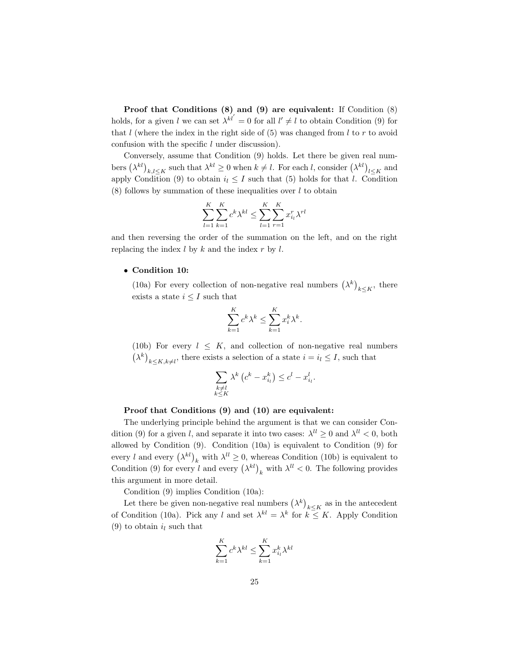Proof that Conditions (8) and (9) are equivalent: If Condition (8) holds, for a given l we can set  $\lambda^{kl'} = 0$  for all  $l' \neq l$  to obtain Condition (9) for that  $l$  (where the index in the right side of  $(5)$  was changed from  $l$  to  $r$  to avoid confusion with the specific  $l$  under discussion).

Conversely, assume that Condition (9) holds. Let there be given real numbers  $(\lambda^{kl})_{k,l\leq K}$  such that  $\lambda^{kl}\geq 0$  when  $k\neq l$ . For each l, consider  $(\lambda^{kl})_{l\leq K}$  and apply Condition (9) to obtain  $i_l \leq I$  such that (5) holds for that l. Condition  $(8)$  follows by summation of these inequalities over l to obtain

$$
\sum_{l=1}^{K} \sum_{k=1}^{K} c^{k} \lambda^{kl} \le \sum_{l=1}^{K} \sum_{r=1}^{K} x_{i_l}^{r} \lambda^{rl}
$$

and then reversing the order of the summation on the left, and on the right replacing the index  $l$  by  $k$  and the index  $r$  by  $l$ .

#### • Condition 10:

(10a) For every collection of non-negative real numbers  $(\lambda^k)_{k \leq K}$ , there exists a state  $i \leq I$  such that

$$
\sum_{k=1}^{K} c^k \lambda^k \le \sum_{k=1}^{K} x_i^k \lambda^k.
$$

(10b) For every  $l \leq K$ , and collection of non-negative real numbers  $(\lambda^k)_{k \leq K, k \neq l}$ , there exists a selection of a state  $i = i_l \leq I$ , such that

$$
\sum_{\substack{k \neq l \\ k \leq K}} \lambda^k \left( c^k - x_{i_l}^k \right) \leq c^l - x_{i_l}^l.
$$

#### Proof that Conditions (9) and (10) are equivalent:

The underlying principle behind the argument is that we can consider Condition (9) for a given l, and separate it into two cases:  $\lambda^{ll} \ge 0$  and  $\lambda^{ll} < 0$ , both allowed by Condition (9). Condition (10a) is equivalent to Condition (9) for every l and every  $(\lambda^{kl})_k$  with  $\lambda^{ll} \geq 0$ , whereas Condition (10b) is equivalent to Condition (9) for every l and every  $(\lambda^{kl})_k$  with  $\lambda^{ll} < 0$ . The following provides this argument in more detail.

Condition (9) implies Condition (10a):

Let there be given non-negative real numbers  $(\lambda^k)_{k \leq K}$  as in the antecedent of Condition (10a). Pick any l and set  $\lambda^{kl} = \lambda^k$  for  $k \leq K$ . Apply Condition (9) to obtain  $i_l$  such that

$$
\sum_{k=1}^{K} c^k \lambda^{kl} \le \sum_{k=1}^{K} x_{i_l}^k \lambda^{kl}
$$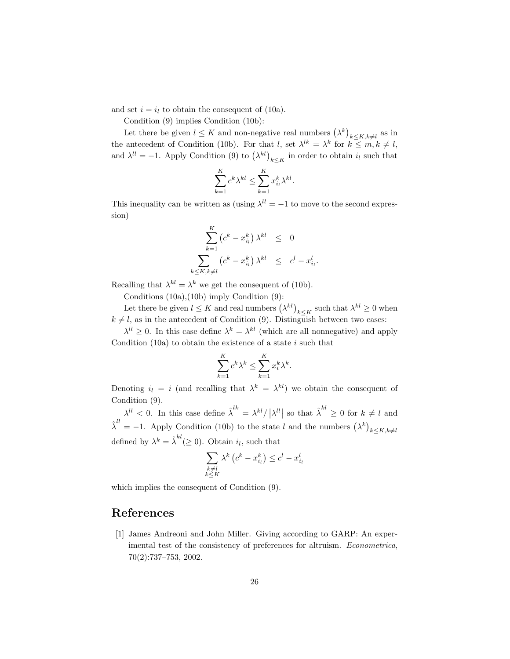and set  $i = i_l$  to obtain the consequent of (10a).

Condition (9) implies Condition (10b):

Let there be given  $l \leq K$  and non-negative real numbers  $(\lambda^k)_{k \leq K, k \neq l}$  as in the antecedent of Condition (10b). For that l, set  $\lambda^{lk} = \lambda^k$  for  $k \leq m, k \neq l$ , and  $\lambda^{ll} = -1$ . Apply Condition (9) to  $(\lambda^{kl})_{k \leq K}$  in order to obtain  $i_l$  such that

$$
\sum_{k=1}^K c^k \lambda^{kl} \le \sum_{k=1}^K x_{i_l}^k \lambda^{kl}.
$$

This inequality can be written as (using  $\lambda^{ll} = -1$  to move to the second expression)

$$
\sum_{k=1}^{K} (c^k - x_{i_l}^k) \lambda^{kl} \leq 0
$$
  

$$
\sum_{k \leq K, k \neq l} (c^k - x_{i_l}^k) \lambda^{kl} \leq c^l - x_{i_l}^l
$$

.

Recalling that  $\lambda^{kl} = \lambda^k$  we get the consequent of (10b).

Conditions (10a),(10b) imply Condition (9):

Let there be given  $l \leq K$  and real numbers  $(\lambda^{kl})_{k \leq K}$  such that  $\lambda^{kl} \geq 0$  when  $k \neq l$ , as in the antecedent of Condition (9). Distinguish between two cases:

 $\lambda^{ll} \geq 0$ . In this case define  $\lambda^{k} = \lambda^{kl}$  (which are all nonnegative) and apply Condition  $(10a)$  to obtain the existence of a state i such that

$$
\sum_{k=1}^{K} c^k \lambda^k \le \sum_{k=1}^{K} x_i^k \lambda^k.
$$

Denoting  $i_l = i$  (and recalling that  $\lambda^k = \lambda^{kl}$ ) we obtain the consequent of Condition (9).

 $\lambda^{ll} < 0$ . In this case define  $\hat{\lambda}^{lk} = \lambda^{kl} / |\lambda^{ll}|$  so that  $\hat{\lambda}^{kl} \geq 0$  for  $k \neq l$  and  $\hat{\lambda}^{ll} = -1$ . Apply Condition (10b) to the state l and the numbers  $(\lambda^k)_{k \leq K, k \neq l}$ defined by  $\lambda^k = \hat{\lambda}^{kl} (\geq 0)$ . Obtain  $i_l$ , such that

$$
\sum_{\substack{k \neq l \\ k \leq K}} \lambda^k \left( c^k - x_{i_l}^k \right) \leq c^l - x_{i_l}^l
$$

which implies the consequent of Condition (9).

### References

[1] James Andreoni and John Miller. Giving according to GARP: An experimental test of the consistency of preferences for altruism. Econometrica, 70(2):737–753, 2002.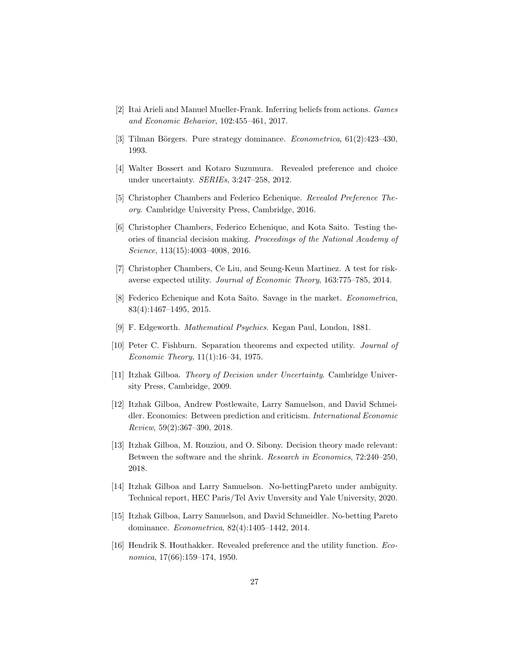- [2] Itai Arieli and Manuel Mueller-Frank. Inferring beliefs from actions. Games and Economic Behavior, 102:455–461, 2017.
- [3] Tilman Börgers. Pure strategy dominance. *Econometrica*,  $61(2):423-430$ , 1993.
- [4] Walter Bossert and Kotaro Suzumura. Revealed preference and choice under uncertainty. SERIEs, 3:247–258, 2012.
- [5] Christopher Chambers and Federico Echenique. Revealed Preference Theory. Cambridge University Press, Cambridge, 2016.
- [6] Christopher Chambers, Federico Echenique, and Kota Saito. Testing theories of financial decision making. Proceedings of the National Academy of Science, 113(15):4003–4008, 2016.
- [7] Christopher Chambers, Ce Liu, and Seung-Keun Martinez. A test for riskaverse expected utility. Journal of Economic Theory, 163:775–785, 2014.
- [8] Federico Echenique and Kota Saito. Savage in the market. Econometrica, 83(4):1467–1495, 2015.
- [9] F. Edgeworth. Mathematical Psychics. Kegan Paul, London, 1881.
- [10] Peter C. Fishburn. Separation theorems and expected utility. Journal of Economic Theory, 11(1):16–34, 1975.
- [11] Itzhak Gilboa. Theory of Decision under Uncertainty. Cambridge University Press, Cambridge, 2009.
- [12] Itzhak Gilboa, Andrew Postlewaite, Larry Samuelson, and David Schmeidler. Economics: Between prediction and criticism. International Economic Review, 59(2):367–390, 2018.
- [13] Itzhak Gilboa, M. Rouziou, and O. Sibony. Decision theory made relevant: Between the software and the shrink. Research in Economics, 72:240–250, 2018.
- [14] Itzhak Gilboa and Larry Samuelson. No-bettingPareto under ambiguity. Technical report, HEC Paris/Tel Aviv Unversity and Yale University, 2020.
- [15] Itzhak Gilboa, Larry Samuelson, and David Schmeidler. No-betting Pareto dominance. Econometrica, 82(4):1405–1442, 2014.
- [16] Hendrik S. Houthakker. Revealed preference and the utility function. *Eco*nomica, 17(66):159–174, 1950.